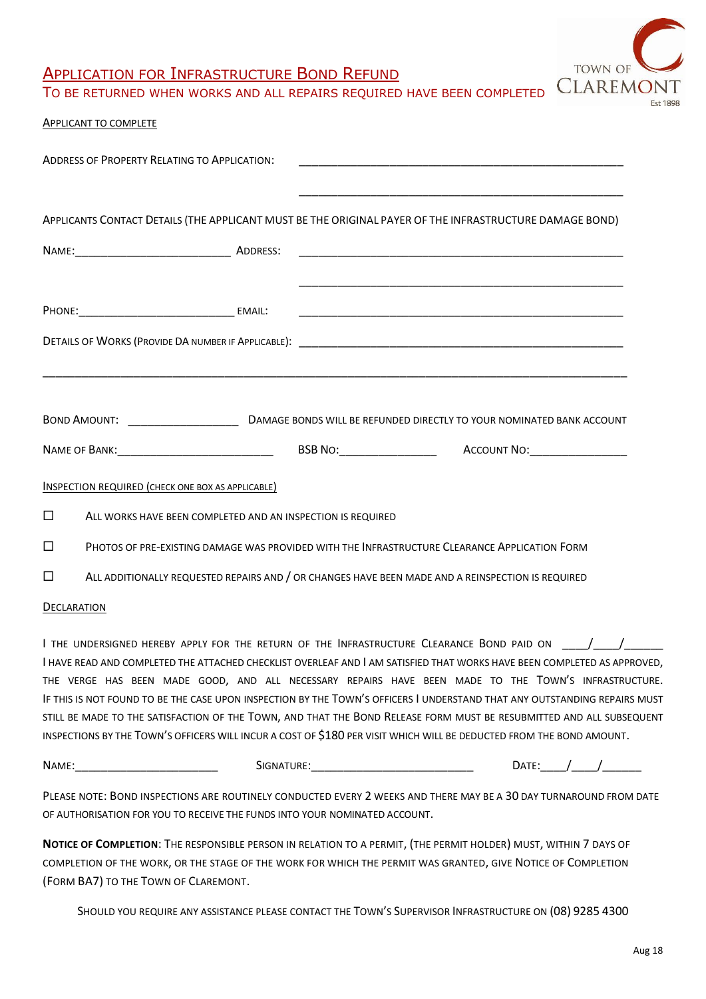

## APPLICATION FOR INFRASTRUCTURE BOND REFUND

TO BE RETURNED WHEN WORKS AND ALL REPAIRS REQUIRED HAVE BEEN COMPLETED

## APPLICANT TO COMPLETE

| <b>ADDRESS OF PROPERTY RELATING TO APPLICATION:</b>                                                                  |            |                                                                                                   |                                                                                                                                                                                                                                                                                                                                                                                                                                                                                                                                                                                                                         |
|----------------------------------------------------------------------------------------------------------------------|------------|---------------------------------------------------------------------------------------------------|-------------------------------------------------------------------------------------------------------------------------------------------------------------------------------------------------------------------------------------------------------------------------------------------------------------------------------------------------------------------------------------------------------------------------------------------------------------------------------------------------------------------------------------------------------------------------------------------------------------------------|
| APPLICANTS CONTACT DETAILS (THE APPLICANT MUST BE THE ORIGINAL PAYER OF THE INFRASTRUCTURE DAMAGE BOND)              |            |                                                                                                   |                                                                                                                                                                                                                                                                                                                                                                                                                                                                                                                                                                                                                         |
|                                                                                                                      |            |                                                                                                   |                                                                                                                                                                                                                                                                                                                                                                                                                                                                                                                                                                                                                         |
|                                                                                                                      |            |                                                                                                   |                                                                                                                                                                                                                                                                                                                                                                                                                                                                                                                                                                                                                         |
|                                                                                                                      |            |                                                                                                   |                                                                                                                                                                                                                                                                                                                                                                                                                                                                                                                                                                                                                         |
|                                                                                                                      |            |                                                                                                   |                                                                                                                                                                                                                                                                                                                                                                                                                                                                                                                                                                                                                         |
|                                                                                                                      |            |                                                                                                   |                                                                                                                                                                                                                                                                                                                                                                                                                                                                                                                                                                                                                         |
| <b>INSPECTION REQUIRED (CHECK ONE BOX AS APPLICABLE)</b>                                                             |            |                                                                                                   |                                                                                                                                                                                                                                                                                                                                                                                                                                                                                                                                                                                                                         |
| $\Box$<br>ALL WORKS HAVE BEEN COMPLETED AND AN INSPECTION IS REQUIRED                                                |            |                                                                                                   |                                                                                                                                                                                                                                                                                                                                                                                                                                                                                                                                                                                                                         |
| $\Box$                                                                                                               |            | PHOTOS OF PRE-EXISTING DAMAGE WAS PROVIDED WITH THE INFRASTRUCTURE CLEARANCE APPLICATION FORM     |                                                                                                                                                                                                                                                                                                                                                                                                                                                                                                                                                                                                                         |
| $\Box$                                                                                                               |            | ALL ADDITIONALLY REQUESTED REPAIRS AND / OR CHANGES HAVE BEEN MADE AND A REINSPECTION IS REQUIRED |                                                                                                                                                                                                                                                                                                                                                                                                                                                                                                                                                                                                                         |
| DECLARATION                                                                                                          |            |                                                                                                   |                                                                                                                                                                                                                                                                                                                                                                                                                                                                                                                                                                                                                         |
| INSPECTIONS BY THE TOWN'S OFFICERS WILL INCUR A COST OF \$180 PER VISIT WHICH WILL BE DEDUCTED FROM THE BOND AMOUNT. |            |                                                                                                   | I the undersigned hereby apply for the return of the Infrastructure Clearance Bond paid on $\hspace{.5cm}$ / $\hspace{.5cm}$ /<br>I HAVE READ AND COMPLETED THE ATTACHED CHECKLIST OVERLEAF AND I AM SATISFIED THAT WORKS HAVE BEEN COMPLETED AS APPROVED,<br>THE VERGE HAS BEEN MADE GOOD, AND ALL NECESSARY REPAIRS HAVE BEEN MADE TO THE TOWN'S INFRASTRUCTURE.<br>IF THIS IS NOT FOUND TO BE THE CASE UPON INSPECTION BY THE TOWN'S OFFICERS I UNDERSTAND THAT ANY OUTSTANDING REPAIRS MUST<br>STILL BE MADE TO THE SATISFACTION OF THE TOWN, AND THAT THE BOND RELEASE FORM MUST BE RESUBMITTED AND ALL SUBSEQUENT |
| NAME:                                                                                                                | SIGNATURE: |                                                                                                   | Date: $/$ /                                                                                                                                                                                                                                                                                                                                                                                                                                                                                                                                                                                                             |

PLEASE NOTE: BOND INSPECTIONS ARE ROUTINELY CONDUCTED EVERY 2 WEEKS AND THERE MAY BE A 30 DAY TURNAROUND FROM DATE OF AUTHORISATION FOR YOU TO RECEIVE THE FUNDS INTO YOUR NOMINATED ACCOUNT.

**NOTICE OF COMPLETION**: THE RESPONSIBLE PERSON IN RELATION TO A PERMIT, (THE PERMIT HOLDER) MUST, WITHIN 7 DAYS OF COMPLETION OF THE WORK, OR THE STAGE OF THE WORK FOR WHICH THE PERMIT WAS GRANTED, GIVE NOTICE OF COMPLETION (FORM BA7) TO THE TOWN OF CLAREMONT.

SHOULD YOU REQUIRE ANY ASSISTANCE PLEASE CONTACT THE TOWN'S SUPERVISOR INFRASTRUCTURE ON (08) 9285 4300